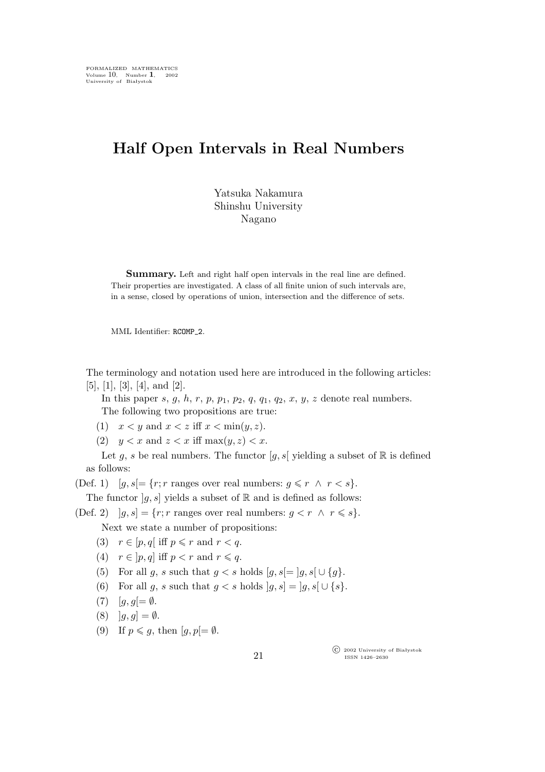## **Half Open Intervals in Real Numbers**

Yatsuka Nakamura Shinshu University Nagano

**Summary.** Left and right half open intervals in the real line are defined. Their properties are investigated. A class of all finite union of such intervals are, in a sense, closed by operations of union, intersection and the difference of sets.

MML Identifier: RCOMP<sub>-2</sub>.

The terminology and notation used here are introduced in the following articles: [5], [1], [3], [4], and [2].

In this paper s, g, h, r, p,  $p_1$ ,  $p_2$ ,  $q$ ,  $q_1$ ,  $q_2$ ,  $x$ ,  $y$ ,  $z$  denote real numbers. The following two propositions are true:

(1)  $x < y$  and  $x < z$  iff  $x < \min(y, z)$ .

(2)  $y < x$  and  $z < x$  iff max $(y, z) < x$ .

Let g, s be real numbers. The functor  $[g, s]$  yielding a subset of  $\mathbb R$  is defined as follows:

(Def. 1)  $[g, s] = \{r; r \text{ ranges over real numbers: } g \leq r \land r < s\}.$ 

The functor  $[g, s]$  yields a subset of R and is defined as follows:

(Def. 2)  $|g,s| = \{r; r \text{ ranges over real numbers: } g \leq r \land r \leq s\}.$ 

Next we state a number of propositions:

- (3)  $r \in [p,q]$  iff  $p \leqslant r$  and  $r < q$ .
- (4)  $r \in [p,q]$  iff  $p < r$  and  $r \leq q$ .
- (5) For all g, s such that  $g < s$  holds  $[g, s] = [g, s] \cup \{g\}.$
- (6) For all g, s such that  $g < s$  holds  $|g, s| = |g, s| \cup \{s\}.$
- (7)  $[g, g] = \emptyset$ .
- $(8)$   $|g,g| = \emptyset$ .
- (9) If  $p \leqslant g$ , then  $[g, p] = \emptyset$ .

°c 2002 University of Białystok ISSN 1426–2630